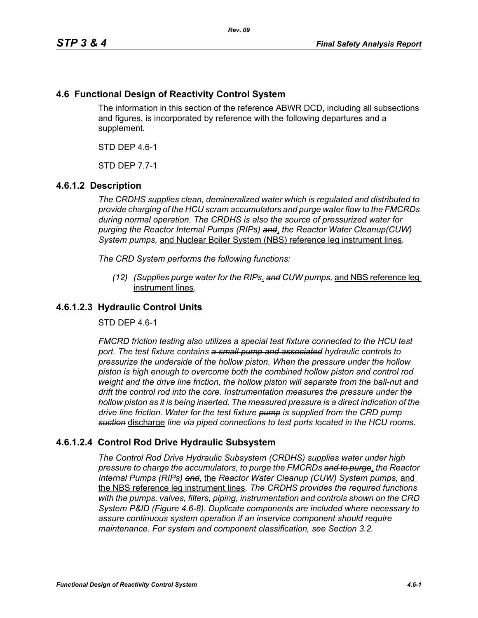# **4.6 Functional Design of Reactivity Control System**

The information in this section of the reference ABWR DCD, including all subsections and figures, is incorporated by reference with the following departures and a supplement.

STD DEP 4.6-1

STD DEP 7.7-1

# **4.6.1.2 Description**

*The CRDHS supplies clean, demineralized water which is regulated and distributed to provide charging of the HCU scram accumulators and purge water flow to the FMCRDs during normal operation. The CRDHS is also the source of pressurized water for purging the Reactor Internal Pumps (RIPs) and*, *the Reactor Water Cleanup(CUW) System pumps,* and Nuclear Boiler System (NBS) reference leg instrument lines*.*

*The CRD System performs the following functions:*

*(12) (Supplies purge water for the RIPs*, *and CUW pumps,* and NBS reference leg instrument lines*.*

### **4.6.1.2.3 Hydraulic Control Units**

STD DEP 4.6-1

*FMCRD friction testing also utilizes a special test fixture connected to the HCU test port. The test fixture contains a small pump and associated hydraulic controls to pressurize the underside of the hollow piston. When the pressure under the hollow piston is high enough to overcome both the combined hollow piston and control rod weight and the drive line friction, the hollow piston will separate from the ball-nut and drift the control rod into the core. Instrumentation measures the pressure under the hollow piston as it is being inserted. The measured pressure is a direct indication of the drive line friction. Water for the test fixture pump is supplied from the CRD pump suction* discharge *line via piped connections to test ports located in the HCU rooms*.

# **4.6.1.2.4 Control Rod Drive Hydraulic Subsystem**

*The Control Rod Drive Hydraulic Subsystem (CRDHS) supplies water under high pressure to charge the accumulators, to purge the FMCRDs and to purge*, *the Reactor Internal Pumps (RIPs) and*, the *Reactor Water Cleanup (CUW) System pumps,* and the NBS reference leg instrument lines*. The CRDHS provides the required functions with the pumps, valves, filters, piping, instrumentation and controls shown on the CRD System P&ID (Figure 4.6-8). Duplicate components are included where necessary to assure continuous system operation if an inservice component should require maintenance. For system and component classification, see Section 3.2.*